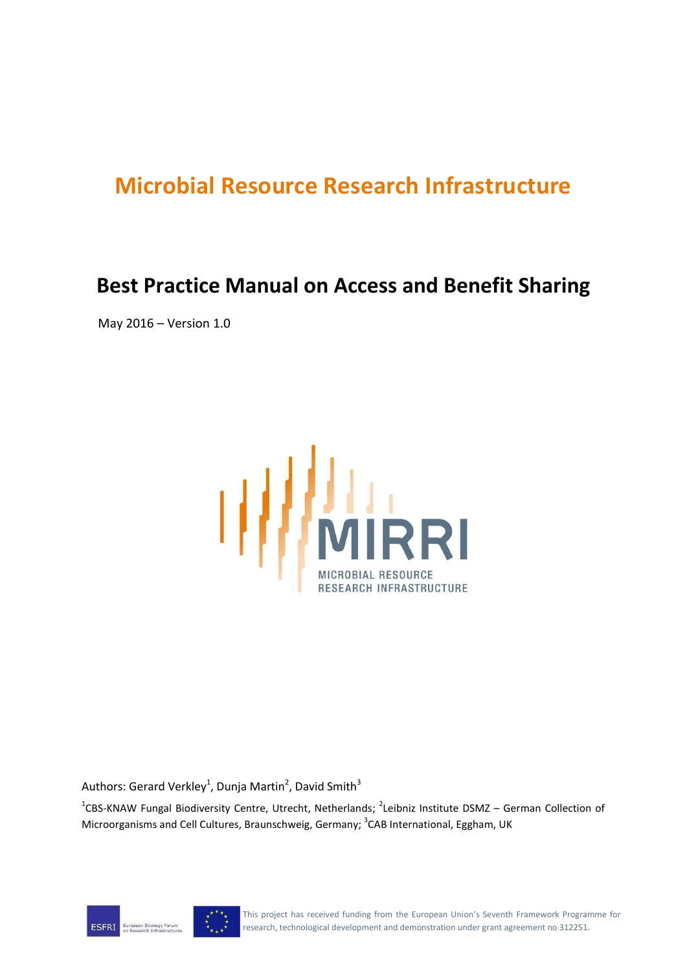# **Microbial Resource Research Infrastructure**

# **Best Practice Manual on Access and Benefit Sharing**

May 2016 – Version 1.0



Authors: Gerard Verkley<sup>1</sup>, Dunja Martin<sup>2</sup>, David Smith<sup>3</sup>

<sup>1</sup>CBS-KNAW Fungal Biodiversity Centre, Utrecht, Netherlands; <sup>2</sup>Leibniz Institute DSMZ – German Collection of Microorganisms and Cell Cultures, Braunschweig, Germany; <sup>3</sup>CAB International, Eggham, UK



This project has received funding from the European Union's Seventh Framework Programme for research, technological development and demonstration under grant agreement no 312251.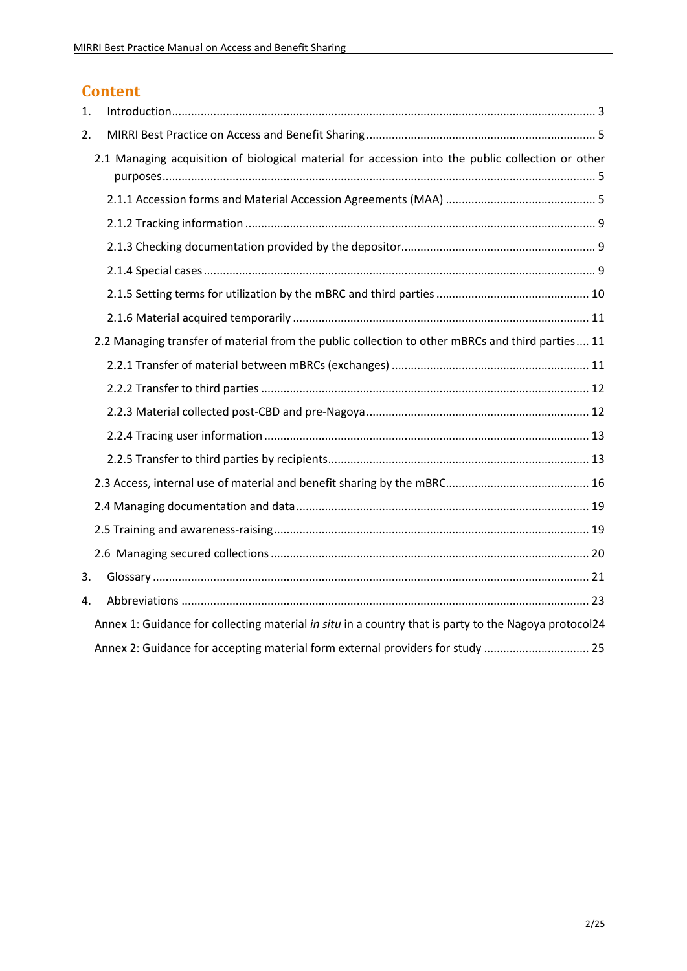# **Content**

| 1. |                                                                                                       |  |
|----|-------------------------------------------------------------------------------------------------------|--|
| 2. |                                                                                                       |  |
|    | 2.1 Managing acquisition of biological material for accession into the public collection or other     |  |
|    |                                                                                                       |  |
|    |                                                                                                       |  |
|    |                                                                                                       |  |
|    |                                                                                                       |  |
|    |                                                                                                       |  |
|    |                                                                                                       |  |
|    | 2.2 Managing transfer of material from the public collection to other mBRCs and third parties 11      |  |
|    |                                                                                                       |  |
|    |                                                                                                       |  |
|    |                                                                                                       |  |
|    |                                                                                                       |  |
|    |                                                                                                       |  |
|    |                                                                                                       |  |
|    |                                                                                                       |  |
|    |                                                                                                       |  |
|    |                                                                                                       |  |
| 3. |                                                                                                       |  |
| 4. |                                                                                                       |  |
|    | Annex 1: Guidance for collecting material in situ in a country that is party to the Nagoya protocol24 |  |
|    | Annex 2: Guidance for accepting material form external providers for study  25                        |  |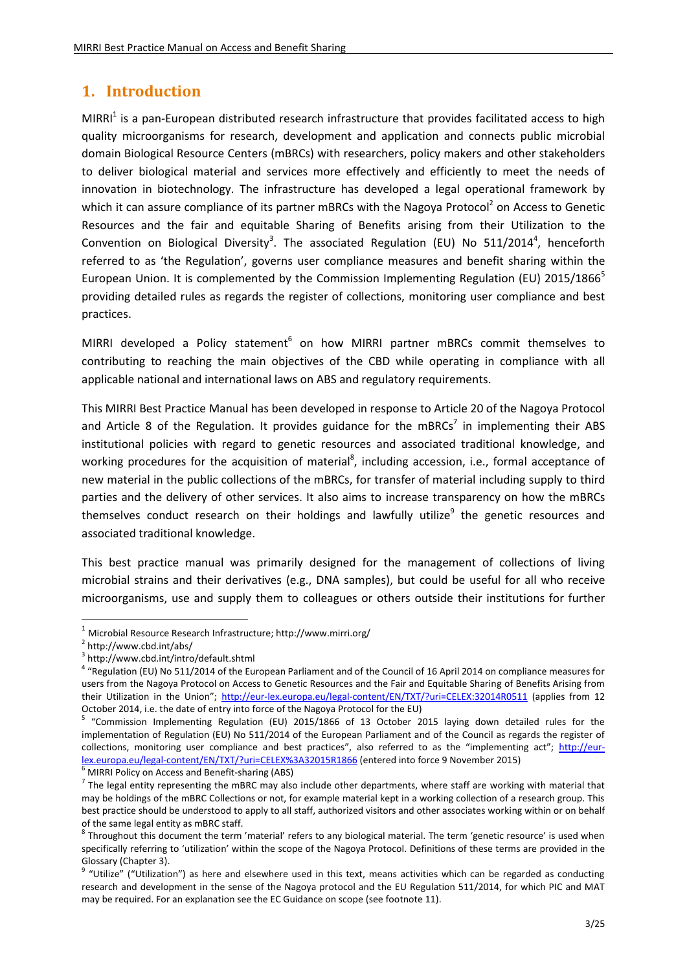# <span id="page-2-0"></span>**1. Introduction**

MIRRI<sup>1</sup> is a pan-European distributed research infrastructure that provides facilitated access to high quality microorganisms for research, development and application and connects public microbial domain Biological Resource Centers (mBRCs) with researchers, policy makers and other stakeholders to deliver biological material and services more effectively and efficiently to meet the needs of innovation in biotechnology. The infrastructure has developed a legal operational framework by which it can assure compliance of its partner mBRCs with the Nagoya Protocol<sup>2</sup> on Access to Genetic Resources and the fair and equitable Sharing of Benefits arising from their Utilization to the Convention on Biological Diversity<sup>3</sup>. The associated Regulation (EU) No 511/2014<sup>4</sup>, henceforth referred to as 'the Regulation', governs user compliance measures and benefit sharing within the European Union. It is complemented by the Commission Implementing Regulation (EU) 2015/1866<sup>5</sup> providing detailed rules as regards the register of collections, monitoring user compliance and best practices.

MIRRI developed a Policy statement<sup>6</sup> on how MIRRI partner mBRCs commit themselves to contributing to reaching the main objectives of the CBD while operating in compliance with all applicable national and international laws on ABS and regulatory requirements.

This MIRRI Best Practice Manual has been developed in response to Article 20 of the Nagoya Protocol and Article 8 of the Regulation. It provides guidance for the mBRCs<sup>7</sup> in implementing their ABS institutional policies with regard to genetic resources and associated traditional knowledge, and working procedures for the acquisition of material<sup>8</sup>, including accession, i.e., formal acceptance of new material in the public collections of the mBRCs, for transfer of material including supply to third parties and the delivery of other services. It also aims to increase transparency on how the mBRCs themselves conduct research on their holdings and lawfully utilize<sup>9</sup> the genetic resources and associated traditional knowledge.

This best practice manual was primarily designed for the management of collections of living microbial strains and their derivatives (e.g., DNA samples), but could be useful for all who receive microorganisms, use and supply them to colleagues or others outside their institutions for further

**.** 

<sup>6</sup> MIRRI Policy on Access and Benefit-sharing (ABS)

<sup>1</sup> Microbial Resource Research Infrastructure; http://www.mirri.org/

<sup>&</sup>lt;sup>2</sup> http://www.cbd.int/abs/

<sup>3</sup> http://www.cbd.int/intro/default.shtml

<sup>&</sup>lt;sup>4</sup> "Regulation (EU) No 511/2014 of the European Parliament and of the Council of 16 April 2014 on compliance measures for users from the Nagoya Protocol on Access to Genetic Resources and the Fair and Equitable Sharing of Benefits Arising from their Utilization in the Union"; <http://eur-lex.europa.eu/legal-content/EN/TXT/?uri=CELEX:32014R0511> (applies from 12 October 2014, i.e. the date of entry into force of the Nagoya Protocol for the EU)

<sup>&</sup>lt;sup>5</sup> "Commission Implementing Regulation (EU) 2015/1866 of 13 October 2015 laying down detailed rules for the implementation of Regulation (EU) No 511/2014 of the European Parliament and of the Council as regards the register of collections, monitoring user compliance and best practices", also referred to as the "implementing act"; [http://eur](http://eur-lex.europa.eu/legal-content/EN/TXT/?uri=CELEX%3A32015R1866)[lex.europa.eu/legal-content/EN/TXT/?uri=CELEX%3A32015R1866](http://eur-lex.europa.eu/legal-content/EN/TXT/?uri=CELEX%3A32015R1866) (entered into force 9 November 2015)

 $^7$  The legal entity representing the mBRC may also include other departments, where staff are working with material that may be holdings of the mBRC Collections or not, for example material kept in a working collection of a research group. This best practice should be understood to apply to all staff, authorized visitors and other associates working within or on behalf of the same legal entity as mBRC staff.

 $^8$  Throughout this document the term 'material' refers to any biological material. The term 'genetic resource' is used when specifically referring to 'utilization' within the scope of the Nagoya Protocol. Definitions of these terms are provided in the Glossary (Chapter 3).

<sup>&</sup>lt;sup>9</sup> "Utilize" ("Utilization") as here and elsewhere used in this text, means activities which can be regarded as conducting research and development in the sense of the Nagoya protocol and the EU Regulation 511/2014, for which PIC and MAT may be required. For an explanation see the EC Guidance on scope (see footnote 11).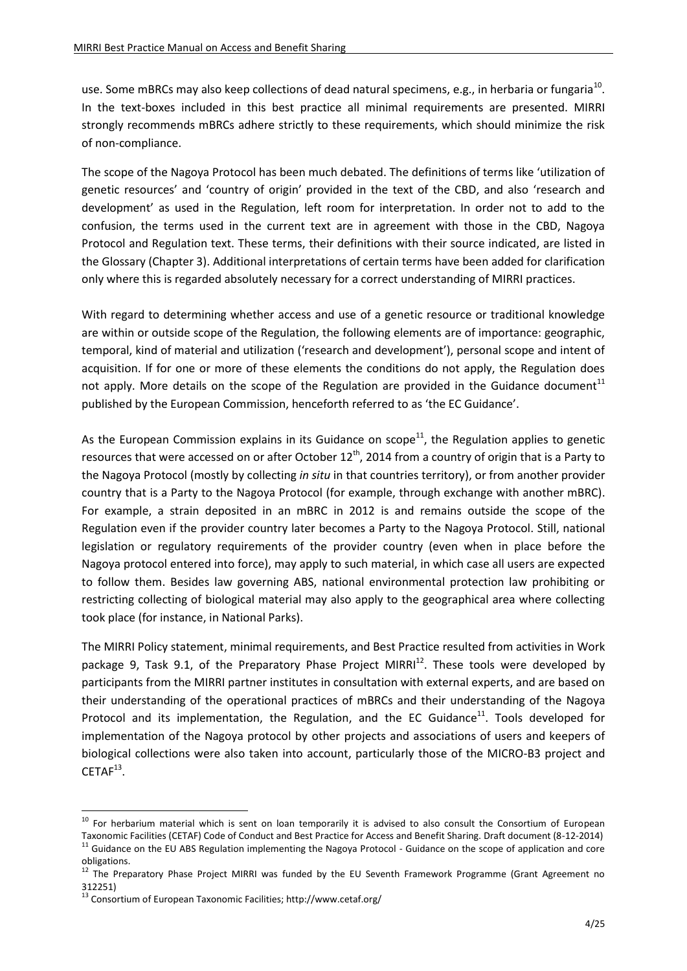use. Some mBRCs may also keep collections of dead natural specimens, e.g., in herbaria or fungaria<sup>10</sup>. In the text-boxes included in this best practice all minimal requirements are presented. MIRRI strongly recommends mBRCs adhere strictly to these requirements, which should minimize the risk of non-compliance.

The scope of the Nagoya Protocol has been much debated. The definitions of terms like 'utilization of genetic resources' and 'country of origin' provided in the text of the CBD, and also 'research and development' as used in the Regulation, left room for interpretation. In order not to add to the confusion, the terms used in the current text are in agreement with those in the CBD, Nagoya Protocol and Regulation text. These terms, their definitions with their source indicated, are listed in the Glossary (Chapter 3). Additional interpretations of certain terms have been added for clarification only where this is regarded absolutely necessary for a correct understanding of MIRRI practices.

With regard to determining whether access and use of a genetic resource or traditional knowledge are within or outside scope of the Regulation, the following elements are of importance: geographic, temporal, kind of material and utilization ('research and development'), personal scope and intent of acquisition. If for one or more of these elements the conditions do not apply, the Regulation does not apply. More details on the scope of the Regulation are provided in the Guidance document<sup>11</sup> published by the European Commission, henceforth referred to as 'the EC Guidance'.

As the European Commission explains in its Guidance on scope<sup>11</sup>, the Regulation applies to genetic resources that were accessed on or after October  $12^{th}$ , 2014 from a country of origin that is a Party to the Nagoya Protocol (mostly by collecting *in situ* in that countries territory), or from another provider country that is a Party to the Nagoya Protocol (for example, through exchange with another mBRC). For example, a strain deposited in an mBRC in 2012 is and remains outside the scope of the Regulation even if the provider country later becomes a Party to the Nagoya Protocol. Still, national legislation or regulatory requirements of the provider country (even when in place before the Nagoya protocol entered into force), may apply to such material, in which case all users are expected to follow them. Besides law governing ABS, national environmental protection law prohibiting or restricting collecting of biological material may also apply to the geographical area where collecting took place (for instance, in National Parks).

The MIRRI Policy statement, minimal requirements, and Best Practice resulted from activities in Work package 9, Task 9.1, of the Preparatory Phase Project MIRRI<sup>12</sup>. These tools were developed by participants from the MIRRI partner institutes in consultation with external experts, and are based on their understanding of the operational practices of mBRCs and their understanding of the Nagoya Protocol and its implementation, the Regulation, and the EC Guidance<sup>11</sup>. Tools developed for implementation of the Nagoya protocol by other projects and associations of users and keepers of biological collections were also taken into account, particularly those of the MICRO-B3 project and  $CETAF<sup>13</sup>$ .

1

<sup>&</sup>lt;sup>10</sup> For herbarium material which is sent on loan temporarily it is advised to also consult the Consortium of European Taxonomic Facilities (CETAF) Code of Conduct and Best Practice for Access and Benefit Sharing. Draft document (8-12-2014)  $11$  Guidance on the EU ABS Regulation implementing the Nagoya Protocol - Guidance on the scope of application and core

obligations.

<sup>&</sup>lt;sup>12</sup> The Preparatory Phase Project MIRRI was funded by the EU Seventh Framework Programme (Grant Agreement no 312251)

<sup>13</sup> Consortium of European Taxonomic Facilities; http://www.cetaf.org/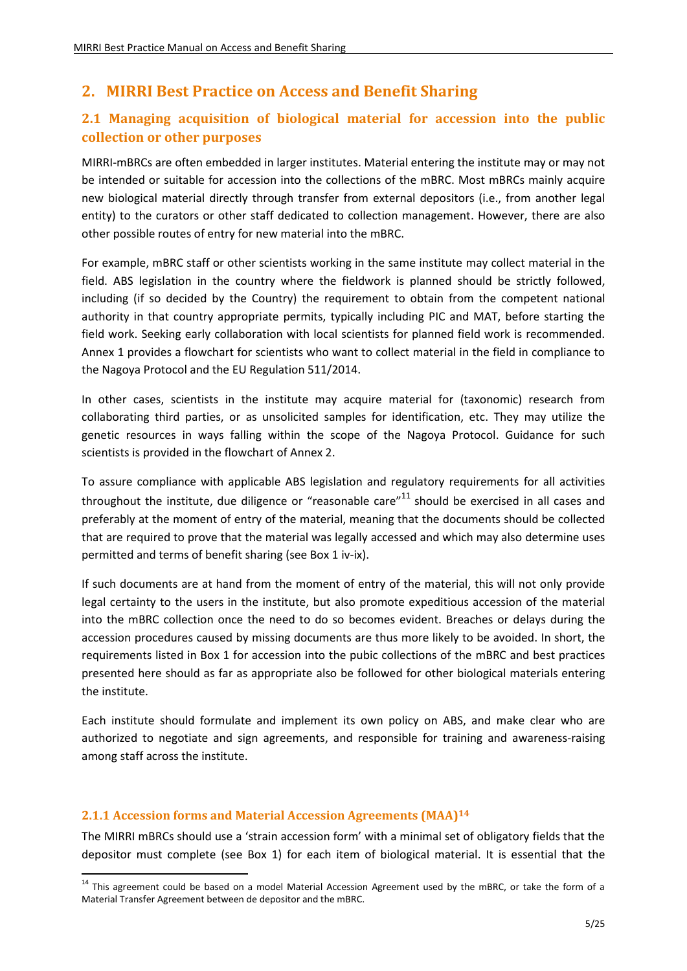# <span id="page-4-0"></span>**2. MIRRI Best Practice on Access and Benefit Sharing**

# <span id="page-4-1"></span>**2.1 Managing acquisition of biological material for accession into the public collection or other purposes**

MIRRI-mBRCs are often embedded in larger institutes. Material entering the institute may or may not be intended or suitable for accession into the collections of the mBRC. Most mBRCs mainly acquire new biological material directly through transfer from external depositors (i.e., from another legal entity) to the curators or other staff dedicated to collection management. However, there are also other possible routes of entry for new material into the mBRC.

For example, mBRC staff or other scientists working in the same institute may collect material in the field. ABS legislation in the country where the fieldwork is planned should be strictly followed, including (if so decided by the Country) the requirement to obtain from the competent national authority in that country appropriate permits, typically including PIC and MAT, before starting the field work. Seeking early collaboration with local scientists for planned field work is recommended. Annex 1 provides a flowchart for scientists who want to collect material in the field in compliance to the Nagoya Protocol and the EU Regulation 511/2014.

In other cases, scientists in the institute may acquire material for (taxonomic) research from collaborating third parties, or as unsolicited samples for identification, etc. They may utilize the genetic resources in ways falling within the scope of the Nagoya Protocol. Guidance for such scientists is provided in the flowchart of Annex 2.

To assure compliance with applicable ABS legislation and regulatory requirements for all activities throughout the institute, due diligence or "reasonable care" $11$  should be exercised in all cases and preferably at the moment of entry of the material, meaning that the documents should be collected that are required to prove that the material was legally accessed and which may also determine uses permitted and terms of benefit sharing (see Box 1 iv-ix).

If such documents are at hand from the moment of entry of the material, this will not only provide legal certainty to the users in the institute, but also promote expeditious accession of the material into the mBRC collection once the need to do so becomes evident. Breaches or delays during the accession procedures caused by missing documents are thus more likely to be avoided. In short, the requirements listed in Box 1 for accession into the pubic collections of the mBRC and best practices presented here should as far as appropriate also be followed for other biological materials entering the institute.

Each institute should formulate and implement its own policy on ABS, and make clear who are authorized to negotiate and sign agreements, and responsible for training and awareness-raising among staff across the institute.

#### <span id="page-4-2"></span>**2.1.1 Accession forms and Material Accession Agreements (MAA) 14**

 $\overline{a}$ 

The MIRRI mBRCs should use a 'strain accession form' with a minimal set of obligatory fields that the depositor must complete (see Box 1) for each item of biological material. It is essential that the

<sup>&</sup>lt;sup>14</sup> This agreement could be based on a model Material Accession Agreement used by the mBRC, or take the form of a Material Transfer Agreement between de depositor and the mBRC.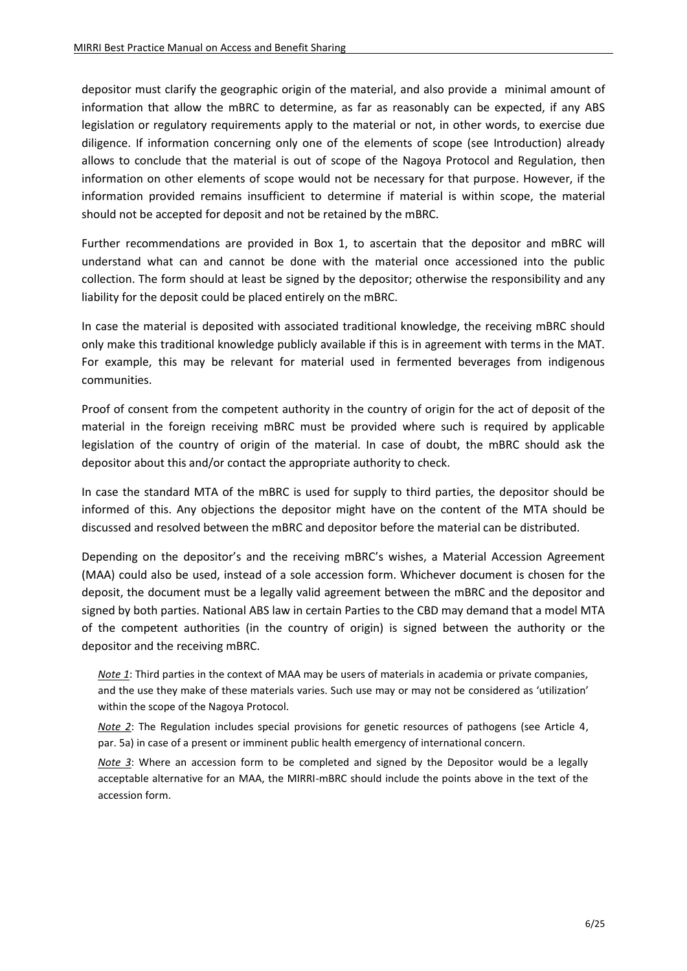depositor must clarify the geographic origin of the material, and also provide a minimal amount of information that allow the mBRC to determine, as far as reasonably can be expected, if any ABS legislation or regulatory requirements apply to the material or not, in other words, to exercise due diligence. If information concerning only one of the elements of scope (see Introduction) already allows to conclude that the material is out of scope of the Nagoya Protocol and Regulation, then information on other elements of scope would not be necessary for that purpose. However, if the information provided remains insufficient to determine if material is within scope, the material should not be accepted for deposit and not be retained by the mBRC.

Further recommendations are provided in Box 1, to ascertain that the depositor and mBRC will understand what can and cannot be done with the material once accessioned into the public collection. The form should at least be signed by the depositor; otherwise the responsibility and any liability for the deposit could be placed entirely on the mBRC.

In case the material is deposited with associated traditional knowledge, the receiving mBRC should only make this traditional knowledge publicly available if this is in agreement with terms in the MAT. For example, this may be relevant for material used in fermented beverages from indigenous communities.

Proof of consent from the competent authority in the country of origin for the act of deposit of the material in the foreign receiving mBRC must be provided where such is required by applicable legislation of the country of origin of the material. In case of doubt, the mBRC should ask the depositor about this and/or contact the appropriate authority to check.

In case the standard MTA of the mBRC is used for supply to third parties, the depositor should be informed of this. Any objections the depositor might have on the content of the MTA should be discussed and resolved between the mBRC and depositor before the material can be distributed.

Depending on the depositor's and the receiving mBRC's wishes, a Material Accession Agreement (MAA) could also be used, instead of a sole accession form. Whichever document is chosen for the deposit, the document must be a legally valid agreement between the mBRC and the depositor and signed by both parties. National ABS law in certain Parties to the CBD may demand that a model MTA of the competent authorities (in the country of origin) is signed between the authority or the depositor and the receiving mBRC.

*Note 1*: Third parties in the context of MAA may be users of materials in academia or private companies, and the use they make of these materials varies. Such use may or may not be considered as 'utilization' within the scope of the Nagoya Protocol.

*Note 2*: The Regulation includes special provisions for genetic resources of pathogens (see Article 4, par. 5a) in case of a present or imminent public health emergency of international concern.

*Note 3*: Where an accession form to be completed and signed by the Depositor would be a legally acceptable alternative for an MAA, the MIRRI-mBRC should include the points above in the text of the accession form.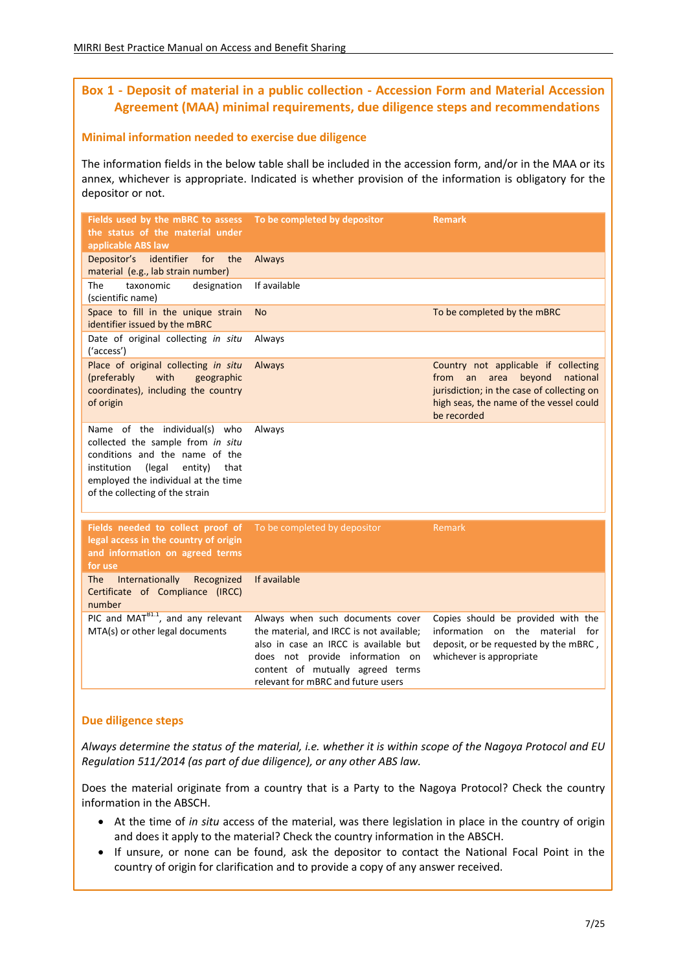### **Box 1 - Deposit of material in a public collection - Accession Form and Material Accession Agreement (MAA) minimal requirements, due diligence steps and recommendations**

#### **Minimal information needed to exercise due diligence**

The information fields in the below table shall be included in the accession form, and/or in the MAA or its annex, whichever is appropriate. Indicated is whether provision of the information is obligatory for the depositor or not.

| Fields used by the mBRC to assess<br>the status of the material under<br>applicable ABS law                                                                                                                                | To be completed by depositor                                                                                                                                                                                                       | Remark                                                                                                                                                                                   |
|----------------------------------------------------------------------------------------------------------------------------------------------------------------------------------------------------------------------------|------------------------------------------------------------------------------------------------------------------------------------------------------------------------------------------------------------------------------------|------------------------------------------------------------------------------------------------------------------------------------------------------------------------------------------|
| Depositor's identifier<br>for<br>the<br>material (e.g., lab strain number)                                                                                                                                                 | Always                                                                                                                                                                                                                             |                                                                                                                                                                                          |
| The<br>taxonomic<br>designation<br>(scientific name)                                                                                                                                                                       | If available                                                                                                                                                                                                                       |                                                                                                                                                                                          |
| Space to fill in the unique strain<br>identifier issued by the mBRC                                                                                                                                                        | <b>No</b>                                                                                                                                                                                                                          | To be completed by the mBRC                                                                                                                                                              |
| Date of original collecting in situ<br>('access')                                                                                                                                                                          | Always                                                                                                                                                                                                                             |                                                                                                                                                                                          |
| Place of original collecting in situ<br>with<br>(preferably<br>geographic<br>coordinates), including the country<br>of origin                                                                                              | Always                                                                                                                                                                                                                             | Country not applicable if collecting<br>from<br>an<br>area<br>beyond<br>national<br>jurisdiction; in the case of collecting on<br>high seas, the name of the vessel could<br>be recorded |
| Name of the individual(s) who<br>collected the sample from in situ<br>conditions and the name of the<br>institution<br>(legal<br>entity)<br>that<br>employed the individual at the time<br>of the collecting of the strain | Always                                                                                                                                                                                                                             |                                                                                                                                                                                          |
| Fields needed to collect proof of<br>legal access in the country of origin<br>and information on agreed terms<br>for use                                                                                                   | To be completed by depositor                                                                                                                                                                                                       | Remark                                                                                                                                                                                   |
| Internationally<br>Recognized<br>The<br>Certificate of Compliance (IRCC)<br>number                                                                                                                                         | If available                                                                                                                                                                                                                       |                                                                                                                                                                                          |
| PIC and $MATB1.1$ , and any relevant<br>MTA(s) or other legal documents                                                                                                                                                    | Always when such documents cover<br>the material, and IRCC is not available;<br>also in case an IRCC is available but<br>does not provide information on<br>content of mutually agreed terms<br>relevant for mBRC and future users | Copies should be provided with the<br>information on the material for<br>deposit, or be requested by the mBRC,<br>whichever is appropriate                                               |

#### **Due diligence steps**

*Always determine the status of the material, i.e. whether it is within scope of the Nagoya Protocol and EU Regulation 511/2014 (as part of due diligence), or any other ABS law.*

Does the material originate from a country that is a Party to the Nagoya Protocol? Check the country information in the ABSCH.

- At the time of *in situ* access of the material, was there legislation in place in the country of origin and does it apply to the material? Check the country information in the ABSCH.
- If unsure, or none can be found, ask the depositor to contact the National Focal Point in the country of origin for clarification and to provide a copy of any answer received.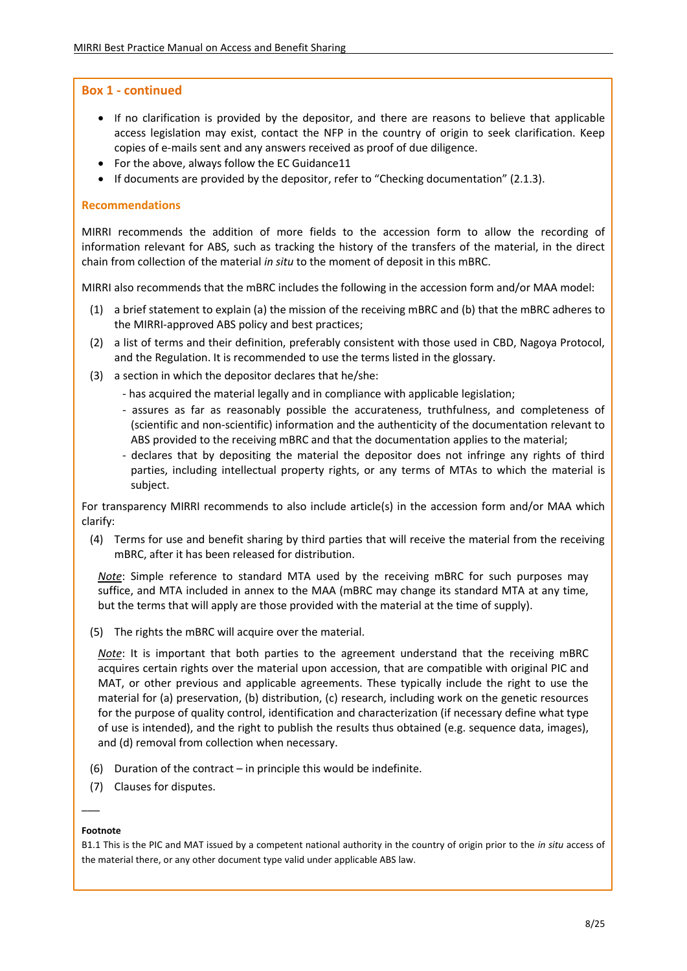#### **Box 1 - continued**

- If no clarification is provided by the depositor, and there are reasons to believe that applicable access legislation may exist, contact the NFP in the country of origin to seek clarification. Keep copies of e-mails sent and any answers received as proof of due diligence.
- For the above, always follow the EC Guidance 11
- If documents are provided by the depositor, refer to "Checking documentation" (2.1.3).

#### **Recommendations**

MIRRI recommends the addition of more fields to the accession form to allow the recording of information relevant for ABS, such as tracking the history of the transfers of the material, in the direct chain from collection of the material *in situ* to the moment of deposit in this mBRC.

MIRRI also recommends that the mBRC includes the following in the accession form and/or MAA model:

- (1) a brief statement to explain (a) the mission of the receiving mBRC and (b) that the mBRC adheres to the MIRRI-approved ABS policy and best practices;
- (2) a list of terms and their definition, preferably consistent with those used in CBD, Nagoya Protocol, and the Regulation. It is recommended to use the terms listed in the glossary.
- (3) a section in which the depositor declares that he/she:
	- has acquired the material legally and in compliance with applicable legislation;
	- assures as far as reasonably possible the accurateness, truthfulness, and completeness of (scientific and non-scientific) information and the authenticity of the documentation relevant to ABS provided to the receiving mBRC and that the documentation applies to the material;
	- declares that by depositing the material the depositor does not infringe any rights of third parties, including intellectual property rights, or any terms of MTAs to which the material is subject.

For transparency MIRRI recommends to also include article(s) in the accession form and/or MAA which clarify:

(4) Terms for use and benefit sharing by third parties that will receive the material from the receiving mBRC, after it has been released for distribution.

*Note*: Simple reference to standard MTA used by the receiving mBRC for such purposes may suffice, and MTA included in annex to the MAA (mBRC may change its standard MTA at any time, but the terms that will apply are those provided with the material at the time of supply).

(5) The rights the mBRC will acquire over the material.

*Note*: It is important that both parties to the agreement understand that the receiving mBRC acquires certain rights over the material upon accession, that are compatible with original PIC and MAT, or other previous and applicable agreements. These typically include the right to use the material for (a) preservation, (b) distribution, (c) research, including work on the genetic resources for the purpose of quality control, identification and characterization (if necessary define what type of use is intended), and the right to publish the results thus obtained (e.g. sequence data, images), and (d) removal from collection when necessary.

- (6) Duration of the contract in principle this would be indefinite.
- (7) Clauses for disputes.

#### **Footnote**

 $\overline{\phantom{a}}$ 

B1.1 This is the PIC and MAT issued by a competent national authority in the country of origin prior to the *in situ* access of the material there, or any other document type valid under applicable ABS law.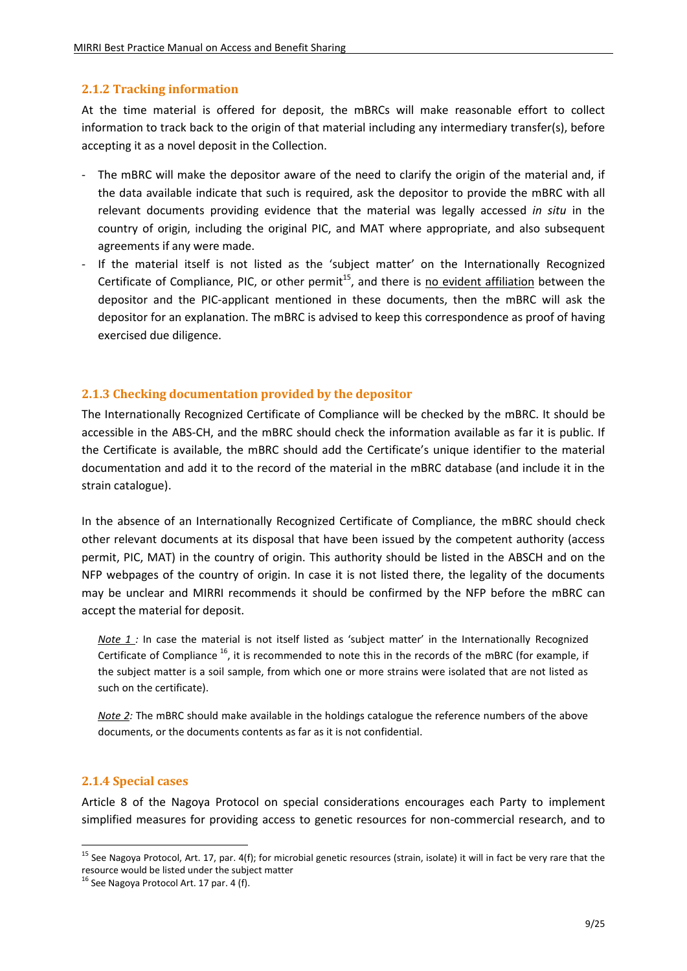#### <span id="page-8-0"></span>**2.1.2 Tracking information**

At the time material is offered for deposit, the mBRCs will make reasonable effort to collect information to track back to the origin of that material including any intermediary transfer(s), before accepting it as a novel deposit in the Collection.

- The mBRC will make the depositor aware of the need to clarify the origin of the material and, if the data available indicate that such is required, ask the depositor to provide the mBRC with all relevant documents providing evidence that the material was legally accessed *in situ* in the country of origin, including the original PIC, and MAT where appropriate, and also subsequent agreements if any were made.
- If the material itself is not listed as the 'subject matter' on the Internationally Recognized Certificate of Compliance, PIC, or other permit<sup>15</sup>, and there is no evident affiliation between the depositor and the PIC-applicant mentioned in these documents, then the mBRC will ask the depositor for an explanation. The mBRC is advised to keep this correspondence as proof of having exercised due diligence.

#### <span id="page-8-1"></span>**2.1.3 Checking documentation provided by the depositor**

The Internationally Recognized Certificate of Compliance will be checked by the mBRC. It should be accessible in the ABS-CH, and the mBRC should check the information available as far it is public. If the Certificate is available, the mBRC should add the Certificate's unique identifier to the material documentation and add it to the record of the material in the mBRC database (and include it in the strain catalogue).

In the absence of an Internationally Recognized Certificate of Compliance, the mBRC should check other relevant documents at its disposal that have been issued by the competent authority (access permit, PIC, MAT) in the country of origin. This authority should be listed in the ABSCH and on the NFP webpages of the country of origin. In case it is not listed there, the legality of the documents may be unclear and MIRRI recommends it should be confirmed by the NFP before the mBRC can accept the material for deposit.

*Note 1 :* In case the material is not itself listed as 'subject matter' in the Internationally Recognized Certificate of Compliance  $^{16}$ , it is recommended to note this in the records of the mBRC (for example, if the subject matter is a soil sample, from which one or more strains were isolated that are not listed as such on the certificate).

*Note 2:* The mBRC should make available in the holdings catalogue the reference numbers of the above documents, or the documents contents as far as it is not confidential.

#### <span id="page-8-2"></span>**2.1.4 Special cases**

 $\overline{a}$ 

Article 8 of the Nagoya Protocol on special considerations encourages each Party to implement simplified measures for providing access to genetic resources for non-commercial research, and to

<sup>&</sup>lt;sup>15</sup> See Nagoya Protocol, Art. 17, par. 4(f); for microbial genetic resources (strain, isolate) it will in fact be very rare that the resource would be listed under the subject matter

 $16$  See Nagoya Protocol Art. 17 par. 4 (f).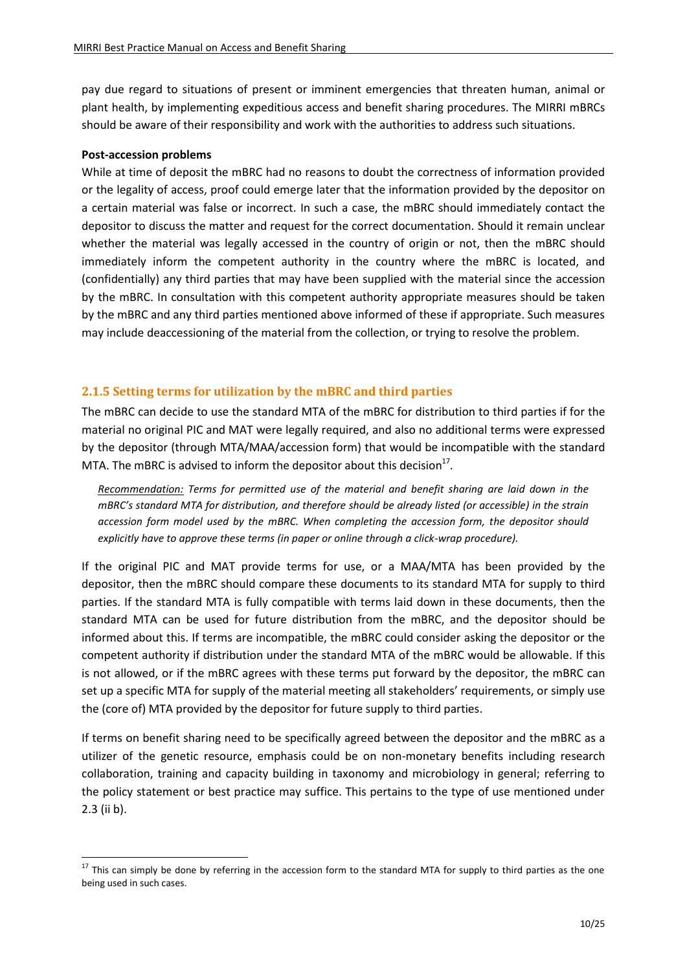pay due regard to situations of present or imminent emergencies that threaten human, animal or plant health, by implementing expeditious access and benefit sharing procedures. The MIRRI mBRCs should be aware of their responsibility and work with the authorities to address such situations.

#### **Post-accession problems**

**.** 

While at time of deposit the mBRC had no reasons to doubt the correctness of information provided or the legality of access, proof could emerge later that the information provided by the depositor on a certain material was false or incorrect. In such a case, the mBRC should immediately contact the depositor to discuss the matter and request for the correct documentation. Should it remain unclear whether the material was legally accessed in the country of origin or not, then the mBRC should immediately inform the competent authority in the country where the mBRC is located, and (confidentially) any third parties that may have been supplied with the material since the accession by the mBRC. In consultation with this competent authority appropriate measures should be taken by the mBRC and any third parties mentioned above informed of these if appropriate. Such measures may include deaccessioning of the material from the collection, or trying to resolve the problem.

#### <span id="page-9-0"></span>**2.1.5 Setting terms for utilization by the mBRC and third parties**

The mBRC can decide to use the standard MTA of the mBRC for distribution to third parties if for the material no original PIC and MAT were legally required, and also no additional terms were expressed by the depositor (through MTA/MAA/accession form) that would be incompatible with the standard MTA. The mBRC is advised to inform the depositor about this decision<sup>17</sup>.

*Recommendation: Terms for permitted use of the material and benefit sharing are laid down in the mBRC's standard MTA for distribution, and therefore should be already listed (or accessible) in the strain accession form model used by the mBRC. When completing the accession form, the depositor should explicitly have to approve these terms (in paper or online through a click-wrap procedure).*

If the original PIC and MAT provide terms for use, or a MAA/MTA has been provided by the depositor, then the mBRC should compare these documents to its standard MTA for supply to third parties. If the standard MTA is fully compatible with terms laid down in these documents, then the standard MTA can be used for future distribution from the mBRC, and the depositor should be informed about this. If terms are incompatible, the mBRC could consider asking the depositor or the competent authority if distribution under the standard MTA of the mBRC would be allowable. If this is not allowed, or if the mBRC agrees with these terms put forward by the depositor, the mBRC can set up a specific MTA for supply of the material meeting all stakeholders' requirements, or simply use the (core of) MTA provided by the depositor for future supply to third parties.

If terms on benefit sharing need to be specifically agreed between the depositor and the mBRC as a utilizer of the genetic resource, emphasis could be on non-monetary benefits including research collaboration, training and capacity building in taxonomy and microbiology in general; referring to the policy statement or best practice may suffice. This pertains to the type of use mentioned under 2.3 (ii b).

 $17$  This can simply be done by referring in the accession form to the standard MTA for supply to third parties as the one being used in such cases.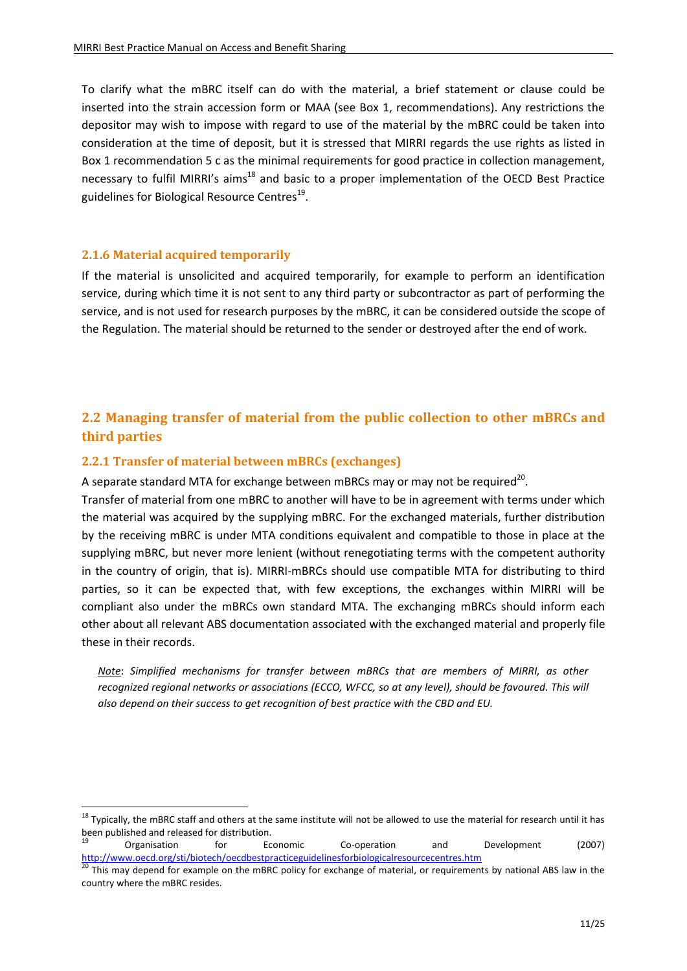To clarify what the mBRC itself can do with the material, a brief statement or clause could be inserted into the strain accession form or MAA (see Box 1, recommendations). Any restrictions the depositor may wish to impose with regard to use of the material by the mBRC could be taken into consideration at the time of deposit, but it is stressed that MIRRI regards the use rights as listed in Box 1 recommendation 5 c as the minimal requirements for good practice in collection management, necessary to fulfil MIRRI's aims<sup>18</sup> and basic to a proper implementation of the OECD Best Practice guidelines for Biological Resource Centres<sup>19</sup>.

#### <span id="page-10-0"></span>**2.1.6 Material acquired temporarily**

 $\overline{a}$ 

If the material is unsolicited and acquired temporarily, for example to perform an identification service, during which time it is not sent to any third party or subcontractor as part of performing the service, and is not used for research purposes by the mBRC, it can be considered outside the scope of the Regulation. The material should be returned to the sender or destroyed after the end of work.

# <span id="page-10-1"></span>**2.2 Managing transfer of material from the public collection to other mBRCs and third parties**

#### <span id="page-10-2"></span>**2.2.1 Transfer of material between mBRCs (exchanges)**

A separate standard MTA for exchange between mBRCs may or may not be required<sup>20</sup>.

Transfer of material from one mBRC to another will have to be in agreement with terms under which the material was acquired by the supplying mBRC. For the exchanged materials, further distribution by the receiving mBRC is under MTA conditions equivalent and compatible to those in place at the supplying mBRC, but never more lenient (without renegotiating terms with the competent authority in the country of origin, that is). MIRRI-mBRCs should use compatible MTA for distributing to third parties, so it can be expected that, with few exceptions, the exchanges within MIRRI will be compliant also under the mBRCs own standard MTA. The exchanging mBRCs should inform each other about all relevant ABS documentation associated with the exchanged material and properly file these in their records.

*Note*: *Simplified mechanisms for transfer between mBRCs that are members of MIRRI, as other recognized regional networks or associations (ECCO, WFCC, so at any level), should be favoured. This will also depend on their success to get recognition of best practice with the CBD and EU.*

 $18$  Typically, the mBRC staff and others at the same institute will not be allowed to use the material for research until it has been published and released for distribution.

<sup>&</sup>lt;sup>19</sup> Organisation for Economic Co-operation and Development (2007) <http://www.oecd.org/sti/biotech/oecdbestpracticeguidelinesforbiologicalresourcecentres.htm>

<sup>&</sup>lt;sup>20</sup> This may depend for example on the mBRC policy for exchange of material, or requirements by national ABS law in the country where the mBRC resides.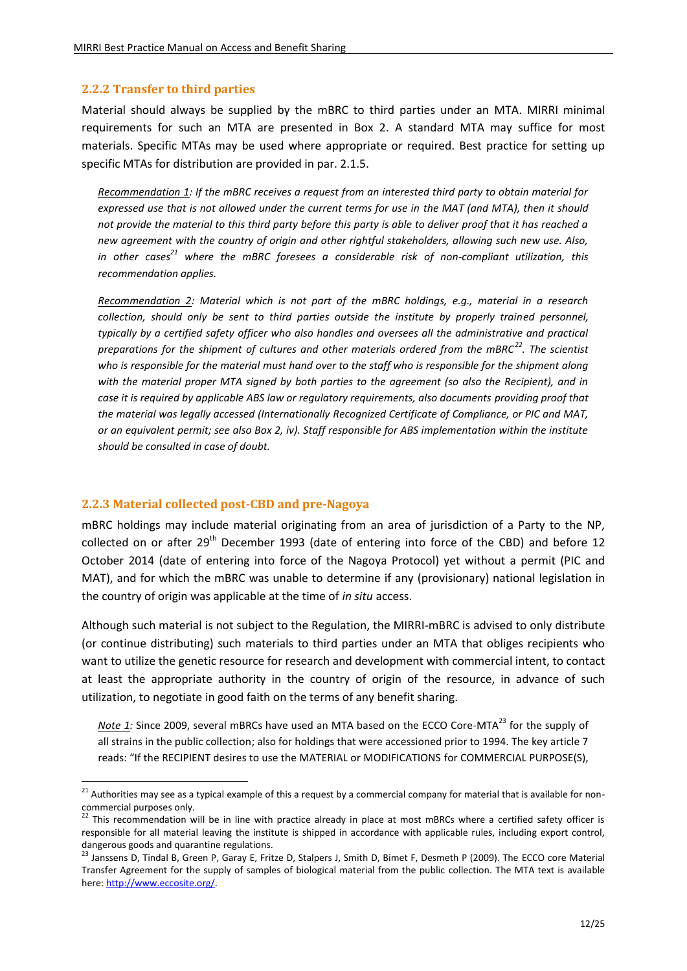#### <span id="page-11-0"></span>**2.2.2 Transfer to third parties**

Material should always be supplied by the mBRC to third parties under an MTA. MIRRI minimal requirements for such an MTA are presented in Box 2. A standard MTA may suffice for most materials. Specific MTAs may be used where appropriate or required. Best practice for setting up specific MTAs for distribution are provided in par. 2.1.5.

*Recommendation 1: If the mBRC receives a request from an interested third party to obtain material for expressed use that is not allowed under the current terms for use in the MAT (and MTA), then it should not provide the material to this third party before this party is able to deliver proof that it has reached a new agreement with the country of origin and other rightful stakeholders, allowing such new use. Also, in other cases<sup>21</sup> where the mBRC foresees a considerable risk of non-compliant utilization, this recommendation applies.*

*Recommendation 2: Material which is not part of the mBRC holdings, e.g., material in a research collection, should only be sent to third parties outside the institute by properly trained personnel, typically by a certified safety officer who also handles and oversees all the administrative and practical preparations for the shipment of cultures and other materials ordered from the mBRC<sup>22</sup>. The scientist who is responsible for the material must hand over to the staff who is responsible for the shipment along with the material proper MTA signed by both parties to the agreement (so also the Recipient), and in case it is required by applicable ABS law or regulatory requirements, also documents providing proof that the material was legally accessed (Internationally Recognized Certificate of Compliance, or PIC and MAT, or an equivalent permit; see also Box 2, iv). Staff responsible for ABS implementation within the institute should be consulted in case of doubt.*

#### <span id="page-11-1"></span>**2.2.3 Material collected post-CBD and pre-Nagoya**

**.** 

mBRC holdings may include material originating from an area of jurisdiction of a Party to the NP, collected on or after 29<sup>th</sup> December 1993 (date of entering into force of the CBD) and before 12 October 2014 (date of entering into force of the Nagoya Protocol) yet without a permit (PIC and MAT), and for which the mBRC was unable to determine if any (provisionary) national legislation in the country of origin was applicable at the time of *in situ* access.

Although such material is not subject to the Regulation, the MIRRI-mBRC is advised to only distribute (or continue distributing) such materials to third parties under an MTA that obliges recipients who want to utilize the genetic resource for research and development with commercial intent, to contact at least the appropriate authority in the country of origin of the resource, in advance of such utilization, to negotiate in good faith on the terms of any benefit sharing.

*Note 1:* Since 2009, several mBRCs have used an MTA based on the ECCO Core-MTA<sup>23</sup> for the supply of all strains in the public collection; also for holdings that were accessioned prior to 1994. The key article 7 reads: "If the RECIPIENT desires to use the MATERIAL or MODIFICATIONS for COMMERCIAL PURPOSE(S),

<sup>&</sup>lt;sup>21</sup> Authorities may see as a typical example of this a request by a commercial company for material that is available for noncommercial purposes only.

<sup>&</sup>lt;sup>22</sup> This recommendation will be in line with practice already in place at most mBRCs where a certified safety officer is responsible for all material leaving the institute is shipped in accordance with applicable rules, including export control, dangerous goods and quarantine regulations.

<sup>&</sup>lt;sup>23</sup> Janssens D, Tindal B, Green P, Garay E, Fritze D, Stalpers J, Smith D, Bimet F, Desmeth P (2009). The ECCO core Material Transfer Agreement for the supply of samples of biological material from the public collection. The MTA text is available here: [http://www.eccosite.org/.](http://www.eccosite.org/)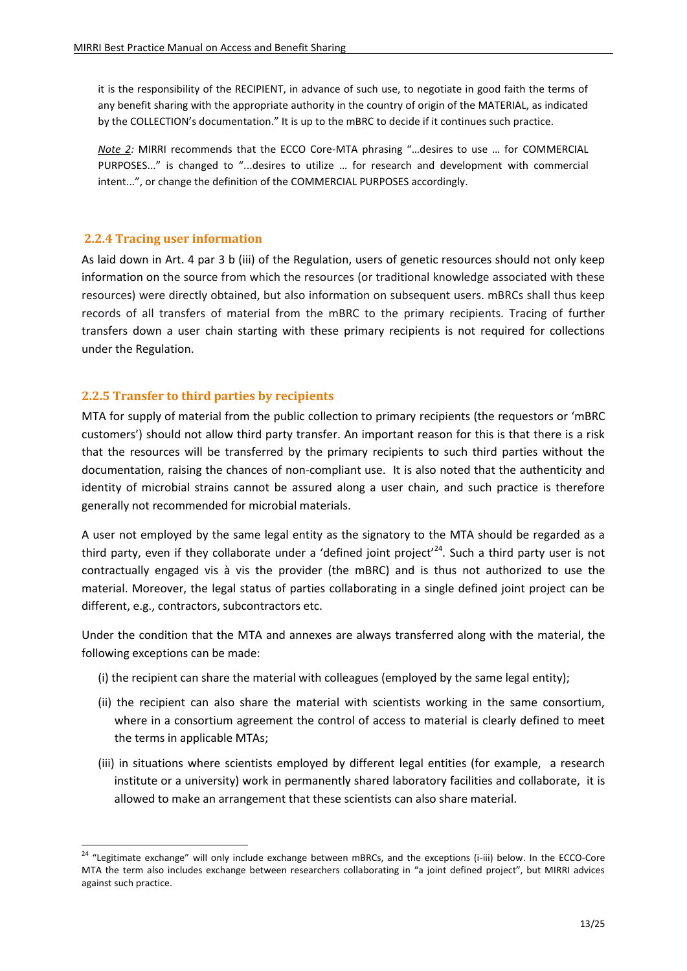it is the responsibility of the RECIPIENT, in advance of such use, to negotiate in good faith the terms of any benefit sharing with the appropriate authority in the country of origin of the MATERIAL, as indicated by the COLLECTION's documentation." It is up to the mBRC to decide if it continues such practice*.* 

*Note 2:* MIRRI recommends that the ECCO Core-MTA phrasing "…desires to use … for COMMERCIAL PURPOSES..." is changed to "...desires to utilize … for research and development with commercial intent...", or change the definition of the COMMERCIAL PURPOSES accordingly.

#### <span id="page-12-0"></span>**2.2.4 Tracing user information**

 $\overline{a}$ 

As laid down in Art. 4 par 3 b (iii) of the Regulation, users of genetic resources should not only keep information on the source from which the resources (or traditional knowledge associated with these resources) were directly obtained, but also information on subsequent users. mBRCs shall thus keep records of all transfers of material from the mBRC to the primary recipients. Tracing of further transfers down a user chain starting with these primary recipients is not required for collections under the Regulation.

#### <span id="page-12-1"></span>**2.2.5 Transfer to third parties by recipients**

MTA for supply of material from the public collection to primary recipients (the requestors or 'mBRC customers') should not allow third party transfer. An important reason for this is that there is a risk that the resources will be transferred by the primary recipients to such third parties without the documentation, raising the chances of non-compliant use. It is also noted that the authenticity and identity of microbial strains cannot be assured along a user chain, and such practice is therefore generally not recommended for microbial materials.

A user not employed by the same legal entity as the signatory to the MTA should be regarded as a third party, even if they collaborate under a 'defined joint project'<sup>24</sup>. Such a third party user is not contractually engaged vis à vis the provider (the mBRC) and is thus not authorized to use the material. Moreover, the legal status of parties collaborating in a single defined joint project can be different, e.g., contractors, subcontractors etc.

Under the condition that the MTA and annexes are always transferred along with the material, the following exceptions can be made:

- (i) the recipient can share the material with colleagues (employed by the same legal entity);
- (ii) the recipient can also share the material with scientists working in the same consortium, where in a consortium agreement the control of access to material is clearly defined to meet the terms in applicable MTAs;
- (iii) in situations where scientists employed by different legal entities (for example, a research institute or a university) work in permanently shared laboratory facilities and collaborate, it is allowed to make an arrangement that these scientists can also share material.

 $24$  "Legitimate exchange" will only include exchange between mBRCs, and the exceptions (i-iii) below. In the ECCO-Core MTA the term also includes exchange between researchers collaborating in "a joint defined project", but MIRRI advices against such practice.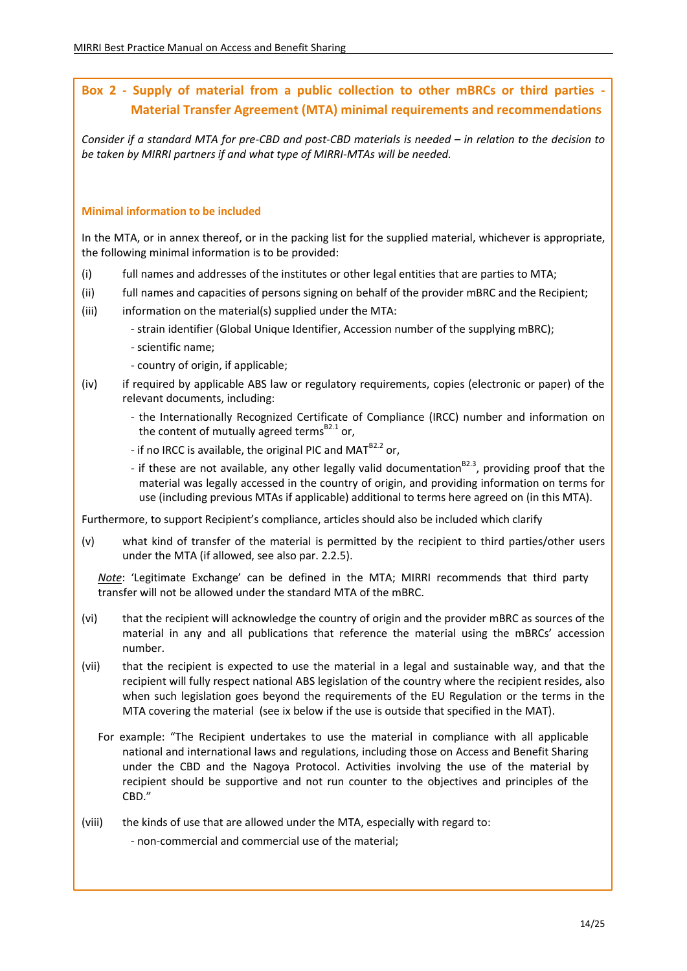# **Box 2 - Supply of material from a public collection to other mBRCs or third parties - Material Transfer Agreement (MTA) minimal requirements and recommendations**

*Consider if a standard MTA for pre-CBD and post-CBD materials is needed – in relation to the decision to be taken by MIRRI partners if and what type of MIRRI-MTAs will be needed.*

#### **Minimal information to be included**

In the MTA, or in annex thereof, or in the packing list for the supplied material, whichever is appropriate, the following minimal information is to be provided:

- (i) full names and addresses of the institutes or other legal entities that are parties to MTA;
- (ii) full names and capacities of persons signing on behalf of the provider mBRC and the Recipient;
- (iii) information on the material(s) supplied under the MTA:
	- strain identifier (Global Unique Identifier, Accession number of the supplying mBRC);
	- scientific name;
	- country of origin, if applicable;
- (iv) if required by applicable ABS law or regulatory requirements, copies (electronic or paper) of the relevant documents, including:
	- the Internationally Recognized Certificate of Compliance (IRCC) number and information on the content of mutually agreed terms<sup>B2.1</sup> or,
	- if no IRCC is available, the original PIC and MAT $^{B2.2}$  or,
	- if these are not available, any other legally valid documentation<sup>82.3</sup>, providing proof that the material was legally accessed in the country of origin, and providing information on terms for use (including previous MTAs if applicable) additional to terms here agreed on (in this MTA).

Furthermore, to support Recipient's compliance, articles should also be included which clarify

(v) what kind of transfer of the material is permitted by the recipient to third parties/other users under the MTA (if allowed, see also par. 2.2.5).

*Note*: 'Legitimate Exchange' can be defined in the MTA; MIRRI recommends that third party transfer will not be allowed under the standard MTA of the mBRC.

- (vi) that the recipient will acknowledge the country of origin and the provider mBRC as sources of the material in any and all publications that reference the material using the mBRCs' accession number.
- (vii) that the recipient is expected to use the material in a legal and sustainable way, and that the recipient will fully respect national ABS legislation of the country where the recipient resides, also when such legislation goes beyond the requirements of the EU Regulation or the terms in the MTA covering the material (see ix below if the use is outside that specified in the MAT).
	- For example: "The Recipient undertakes to use the material in compliance with all applicable national and international laws and regulations, including those on Access and Benefit Sharing under the CBD and the Nagoya Protocol. Activities involving the use of the material by recipient should be supportive and not run counter to the objectives and principles of the CBD."

(viii) the kinds of use that are allowed under the MTA, especially with regard to:

- non-commercial and commercial use of the material;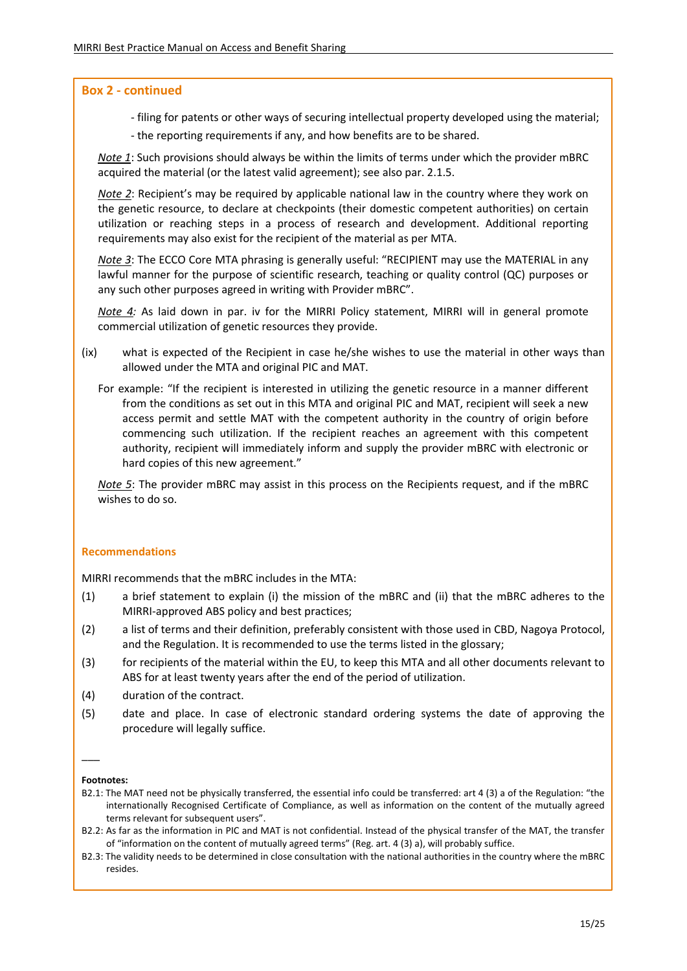#### **Box 2 - continued**

- filing for patents or other ways of securing intellectual property developed using the material;
- the reporting requirements if any, and how benefits are to be shared.

*Note 1*: Such provisions should always be within the limits of terms under which the provider mBRC acquired the material (or the latest valid agreement); see also par. 2.1.5.

*Note 2*: Recipient's may be required by applicable national law in the country where they work on the genetic resource, to declare at checkpoints (their domestic competent authorities) on certain utilization or reaching steps in a process of research and development. Additional reporting requirements may also exist for the recipient of the material as per MTA.

*Note 3*: The ECCO Core MTA phrasing is generally useful: "RECIPIENT may use the MATERIAL in any lawful manner for the purpose of scientific research, teaching or quality control (QC) purposes or any such other purposes agreed in writing with Provider mBRC".

*Note 4:* As laid down in par. iv for the MIRRI Policy statement, MIRRI will in general promote commercial utilization of genetic resources they provide.

- (ix) what is expected of the Recipient in case he/she wishes to use the material in other ways than allowed under the MTA and original PIC and MAT.
	- For example: "If the recipient is interested in utilizing the genetic resource in a manner different from the conditions as set out in this MTA and original PIC and MAT, recipient will seek a new access permit and settle MAT with the competent authority in the country of origin before commencing such utilization. If the recipient reaches an agreement with this competent authority, recipient will immediately inform and supply the provider mBRC with electronic or hard copies of this new agreement."

*Note 5*: The provider mBRC may assist in this process on the Recipients request, and if the mBRC wishes to do so.

#### **Recommendations**

MIRRI recommends that the mBRC includes in the MTA:

- (1) a brief statement to explain (i) the mission of the mBRC and (ii) that the mBRC adheres to the MIRRI-approved ABS policy and best practices;
- (2) a list of terms and their definition, preferably consistent with those used in CBD, Nagoya Protocol, and the Regulation. It is recommended to use the terms listed in the glossary;
- (3) for recipients of the material within the EU, to keep this MTA and all other documents relevant to ABS for at least twenty years after the end of the period of utilization.
- (4) duration of the contract.
- (5) date and place. In case of electronic standard ordering systems the date of approving the procedure will legally suffice.

#### **Footnotes:**

 $\overline{\phantom{a}}$ 

B2.1: The MAT need not be physically transferred, the essential info could be transferred: art 4 (3) a of the Regulation: "the internationally Recognised Certificate of Compliance, as well as information on the content of the mutually agreed terms relevant for subsequent users".

B2.2: As far as the information in PIC and MAT is not confidential. Instead of the physical transfer of the MAT, the transfer of "information on the content of mutually agreed terms" (Reg. art. 4 (3) a), will probably suffice.

B2.3: The validity needs to be determined in close consultation with the national authorities in the country where the mBRC resides.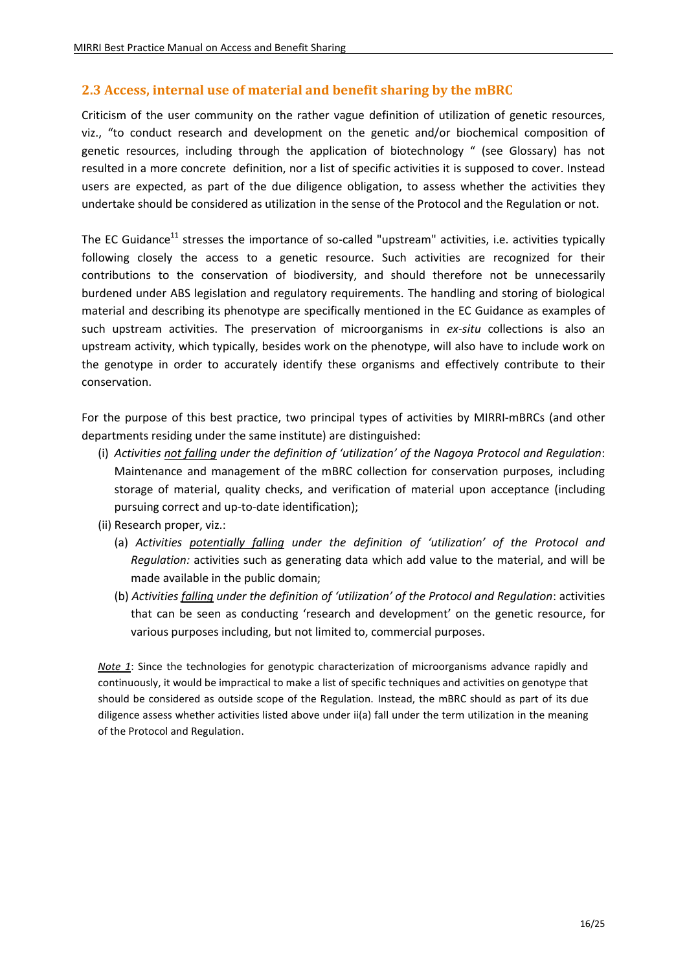## <span id="page-15-0"></span>**2.3 Access, internal use of material and benefit sharing by the mBRC**

Criticism of the user community on the rather vague definition of utilization of genetic resources, viz., "to conduct research and development on the genetic and/or biochemical composition of genetic resources, including through the application of biotechnology " (see Glossary) has not resulted in a more concrete definition, nor a list of specific activities it is supposed to cover. Instead users are expected, as part of the due diligence obligation, to assess whether the activities they undertake should be considered as utilization in the sense of the Protocol and the Regulation or not.

The EC Guidance<sup>11</sup> stresses the importance of so-called "upstream" activities, i.e. activities typically following closely the access to a genetic resource. Such activities are recognized for their contributions to the conservation of biodiversity, and should therefore not be unnecessarily burdened under ABS legislation and regulatory requirements. The handling and storing of biological material and describing its phenotype are specifically mentioned in the EC Guidance as examples of such upstream activities. The preservation of microorganisms in *ex-situ* collections is also an upstream activity, which typically, besides work on the phenotype, will also have to include work on the genotype in order to accurately identify these organisms and effectively contribute to their conservation.

For the purpose of this best practice, two principal types of activities by MIRRI-mBRCs (and other departments residing under the same institute) are distinguished:

- (i) *Activities not falling under the definition of 'utilization' of the Nagoya Protocol and Regulation*: Maintenance and management of the mBRC collection for conservation purposes, including storage of material, quality checks, and verification of material upon acceptance (including pursuing correct and up-to-date identification);
- (ii) Research proper, viz.:
	- (a) *Activities potentially falling under the definition of 'utilization' of the Protocol and Regulation:* activities such as generating data which add value to the material, and will be made available in the public domain;
	- (b) *Activities falling under the definition of 'utilization' of the Protocol and Regulation*: activities that can be seen as conducting 'research and development' on the genetic resource, for various purposes including, but not limited to, commercial purposes.

*Note 1*: Since the technologies for genotypic characterization of microorganisms advance rapidly and continuously, it would be impractical to make a list of specific techniques and activities on genotype that should be considered as outside scope of the Regulation. Instead, the mBRC should as part of its due diligence assess whether activities listed above under ii(a) fall under the term utilization in the meaning of the Protocol and Regulation.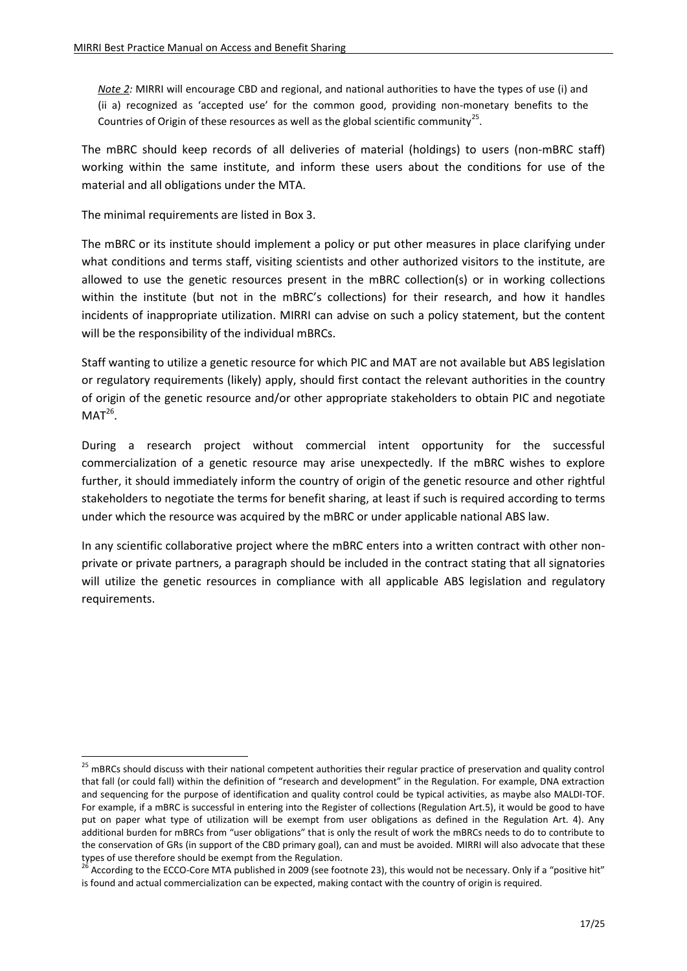*Note 2:* MIRRI will encourage CBD and regional, and national authorities to have the types of use (i) and (ii a) recognized as 'accepted use' for the common good, providing non-monetary benefits to the Countries of Origin of these resources as well as the global scientific community<sup>25</sup>.

The mBRC should keep records of all deliveries of material (holdings) to users (non-mBRC staff) working within the same institute, and inform these users about the conditions for use of the material and all obligations under the MTA.

The minimal requirements are listed in Box 3.

1

The mBRC or its institute should implement a policy or put other measures in place clarifying under what conditions and terms staff, visiting scientists and other authorized visitors to the institute, are allowed to use the genetic resources present in the mBRC collection(s) or in working collections within the institute (but not in the mBRC's collections) for their research, and how it handles incidents of inappropriate utilization. MIRRI can advise on such a policy statement, but the content will be the responsibility of the individual mBRCs.

Staff wanting to utilize a genetic resource for which PIC and MAT are not available but ABS legislation or regulatory requirements (likely) apply, should first contact the relevant authorities in the country of origin of the genetic resource and/or other appropriate stakeholders to obtain PIC and negotiate  $MAT<sup>26</sup>.$ 

During a research project without commercial intent opportunity for the successful commercialization of a genetic resource may arise unexpectedly. If the mBRC wishes to explore further, it should immediately inform the country of origin of the genetic resource and other rightful stakeholders to negotiate the terms for benefit sharing, at least if such is required according to terms under which the resource was acquired by the mBRC or under applicable national ABS law.

In any scientific collaborative project where the mBRC enters into a written contract with other nonprivate or private partners, a paragraph should be included in the contract stating that all signatories will utilize the genetic resources in compliance with all applicable ABS legislation and regulatory requirements.

<sup>&</sup>lt;sup>25</sup> mBRCs should discuss with their national competent authorities their regular practice of preservation and quality control that fall (or could fall) within the definition of "research and development" in the Regulation. For example, DNA extraction and sequencing for the purpose of identification and quality control could be typical activities, as maybe also MALDI-TOF. For example, if a mBRC is successful in entering into the Register of collections (Regulation Art.5), it would be good to have put on paper what type of utilization will be exempt from user obligations as defined in the Regulation Art. 4). Any additional burden for mBRCs from "user obligations" that is only the result of work the mBRCs needs to do to contribute to the conservation of GRs (in support of the CBD primary goal), can and must be avoided. MIRRI will also advocate that these types of use therefore should be exempt from the Regulation.

<sup>&</sup>lt;sup>26</sup> According to the ECCO-Core MTA published in 2009 (see footnote 23), this would not be necessary. Only if a "positive hit" is found and actual commercialization can be expected, making contact with the country of origin is required.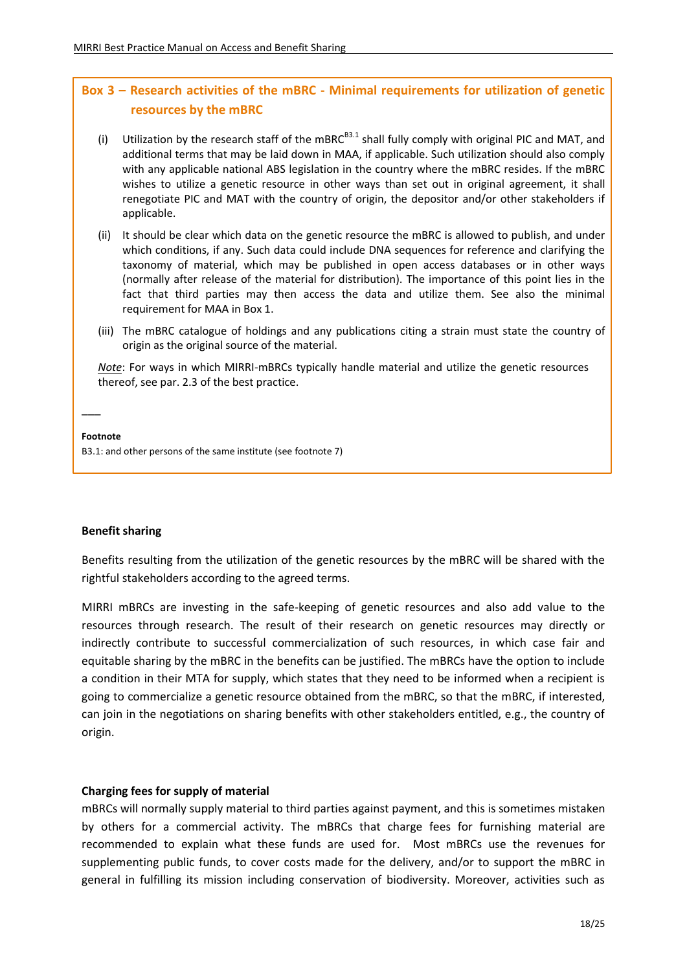# **Box 3 – Research activities of the mBRC - Minimal requirements for utilization of genetic resources by the mBRC**

- (i) Utilization by the research staff of the mBRC $B3.1$  shall fully comply with original PIC and MAT, and additional terms that may be laid down in MAA, if applicable. Such utilization should also comply with any applicable national ABS legislation in the country where the mBRC resides. If the mBRC wishes to utilize a genetic resource in other ways than set out in original agreement, it shall renegotiate PIC and MAT with the country of origin, the depositor and/or other stakeholders if applicable.
- (ii) It should be clear which data on the genetic resource the mBRC is allowed to publish, and under which conditions, if any. Such data could include DNA sequences for reference and clarifying the taxonomy of material, which may be published in open access databases or in other ways (normally after release of the material for distribution). The importance of this point lies in the fact that third parties may then access the data and utilize them. See also the minimal requirement for MAA in Box 1.
- (iii) The mBRC catalogue of holdings and any publications citing a strain must state the country of origin as the original source of the material.

*Note*: For ways in which MIRRI-mBRCs typically handle material and utilize the genetic resources thereof, see par. 2.3 of the best practice.

#### **Footnote**

 $\overline{\phantom{a}}$ 

B3.1: and other persons of the same institute (see footnote 7)

#### **Benefit sharing**

Benefits resulting from the utilization of the genetic resources by the mBRC will be shared with the rightful stakeholders according to the agreed terms.

MIRRI mBRCs are investing in the safe-keeping of genetic resources and also add value to the resources through research. The result of their research on genetic resources may directly or indirectly contribute to successful commercialization of such resources, in which case fair and equitable sharing by the mBRC in the benefits can be justified. The mBRCs have the option to include a condition in their MTA for supply, which states that they need to be informed when a recipient is going to commercialize a genetic resource obtained from the mBRC, so that the mBRC, if interested, can join in the negotiations on sharing benefits with other stakeholders entitled, e.g., the country of origin.

#### **Charging fees for supply of material**

mBRCs will normally supply material to third parties against payment, and this is sometimes mistaken by others for a commercial activity. The mBRCs that charge fees for furnishing material are recommended to explain what these funds are used for. Most mBRCs use the revenues for supplementing public funds, to cover costs made for the delivery, and/or to support the mBRC in general in fulfilling its mission including conservation of biodiversity. Moreover, activities such as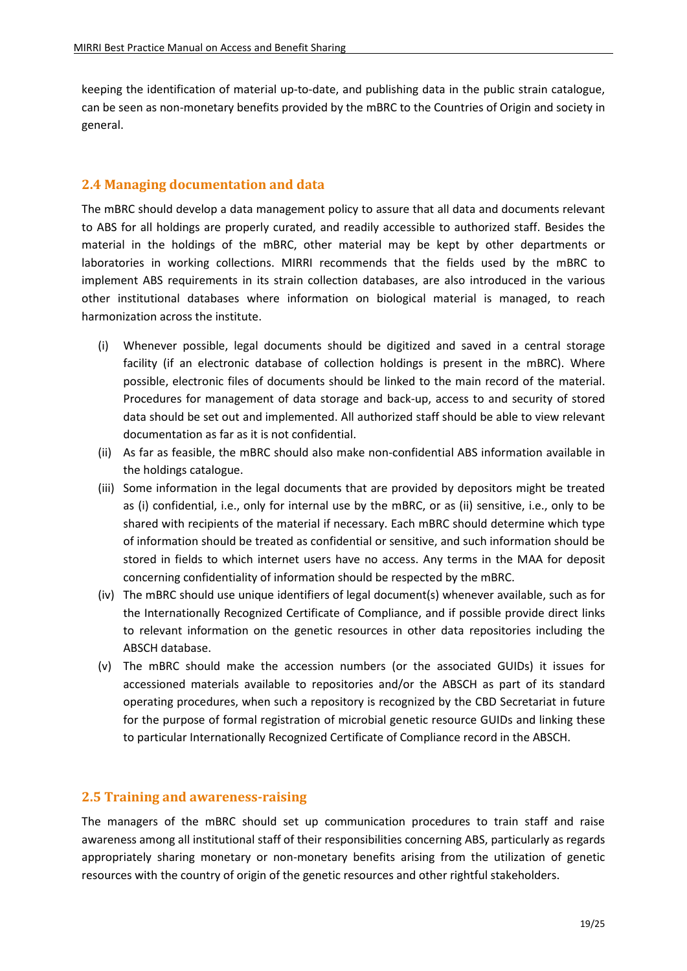keeping the identification of material up-to-date, and publishing data in the public strain catalogue, can be seen as non-monetary benefits provided by the mBRC to the Countries of Origin and society in general.

# <span id="page-18-0"></span>**2.4 Managing documentation and data**

The mBRC should develop a data management policy to assure that all data and documents relevant to ABS for all holdings are properly curated, and readily accessible to authorized staff. Besides the material in the holdings of the mBRC, other material may be kept by other departments or laboratories in working collections. MIRRI recommends that the fields used by the mBRC to implement ABS requirements in its strain collection databases, are also introduced in the various other institutional databases where information on biological material is managed, to reach harmonization across the institute.

- (i) Whenever possible, legal documents should be digitized and saved in a central storage facility (if an electronic database of collection holdings is present in the mBRC). Where possible, electronic files of documents should be linked to the main record of the material. Procedures for management of data storage and back-up, access to and security of stored data should be set out and implemented. All authorized staff should be able to view relevant documentation as far as it is not confidential.
- (ii) As far as feasible, the mBRC should also make non-confidential ABS information available in the holdings catalogue.
- (iii) Some information in the legal documents that are provided by depositors might be treated as (i) confidential, i.e., only for internal use by the mBRC, or as (ii) sensitive, i.e., only to be shared with recipients of the material if necessary. Each mBRC should determine which type of information should be treated as confidential or sensitive, and such information should be stored in fields to which internet users have no access. Any terms in the MAA for deposit concerning confidentiality of information should be respected by the mBRC.
- (iv) The mBRC should use unique identifiers of legal document(s) whenever available, such as for the Internationally Recognized Certificate of Compliance, and if possible provide direct links to relevant information on the genetic resources in other data repositories including the ABSCH database.
- (v) The mBRC should make the accession numbers (or the associated GUIDs) it issues for accessioned materials available to repositories and/or the ABSCH as part of its standard operating procedures, when such a repository is recognized by the CBD Secretariat in future for the purpose of formal registration of microbial genetic resource GUIDs and linking these to particular Internationally Recognized Certificate of Compliance record in the ABSCH.

## <span id="page-18-1"></span>**2.5 Training and awareness-raising**

The managers of the mBRC should set up communication procedures to train staff and raise awareness among all institutional staff of their responsibilities concerning ABS, particularly as regards appropriately sharing monetary or non-monetary benefits arising from the utilization of genetic resources with the country of origin of the genetic resources and other rightful stakeholders.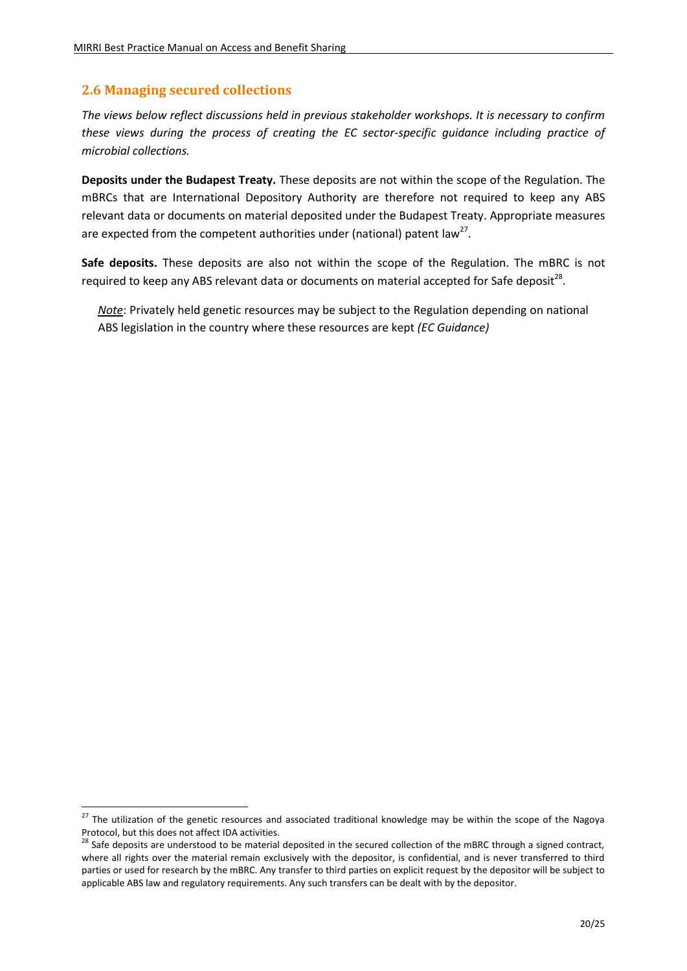## <span id="page-19-0"></span>**2.6 Managing secured collections**

 $\overline{a}$ 

*The views below reflect discussions held in previous stakeholder workshops. It is necessary to confirm these views during the process of creating the EC sector-specific guidance including practice of microbial collections.*

**Deposits under the Budapest Treaty.** These deposits are not within the scope of the Regulation. The mBRCs that are International Depository Authority are therefore not required to keep any ABS relevant data or documents on material deposited under the Budapest Treaty. Appropriate measures are expected from the competent authorities under (national) patent law<sup>27</sup>.

**Safe deposits.** These deposits are also not within the scope of the Regulation. The mBRC is not required to keep any ABS relevant data or documents on material accepted for Safe deposit<sup>28</sup>.

*Note*: Privately held genetic resources may be subject to the Regulation depending on national ABS legislation in the country where these resources are kept *(EC Guidance)*

<sup>&</sup>lt;sup>27</sup> The utilization of the genetic resources and associated traditional knowledge may be within the scope of the Nagoya Protocol, but this does not affect IDA activities.

 $28$  Safe deposits are understood to be material deposited in the secured collection of the mBRC through a signed contract, where all rights over the material remain exclusively with the depositor, is confidential, and is never transferred to third parties or used for research by the mBRC. Any transfer to third parties on explicit request by the depositor will be subject to applicable ABS law and regulatory requirements. Any such transfers can be dealt with by the depositor.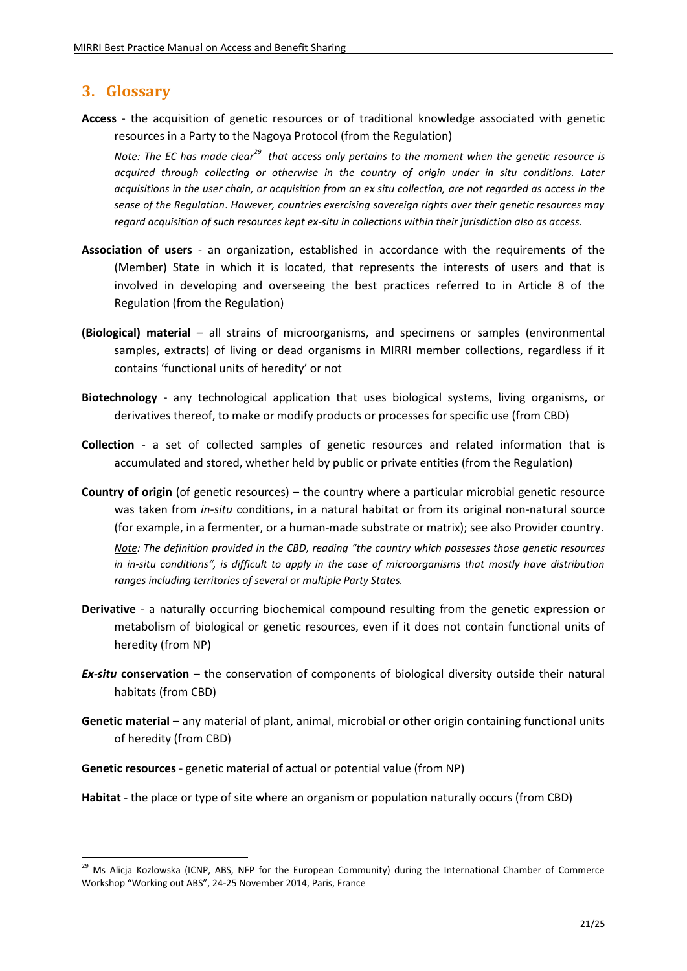# <span id="page-20-0"></span>**3. Glossary**

**.** 

**Access** - the acquisition of genetic resources or of traditional knowledge associated with genetic resources in a Party to the Nagoya Protocol (from the Regulation)

*Note: The EC has made clear<sup>29</sup> that access only pertains to the moment when the genetic resource is acquired through collecting or otherwise in the country of origin under in situ conditions. Later acquisitions in the user chain, or acquisition from an ex situ collection, are not regarded as access in the sense of the Regulation*. *However, countries exercising sovereign rights over their genetic resources may regard acquisition of such resources kept ex-situ in collections within their jurisdiction also as access.*

- **Association of users**  an organization, established in accordance with the requirements of the (Member) State in which it is located, that represents the interests of users and that is involved in developing and overseeing the best practices referred to in Article 8 of the Regulation (from the Regulation)
- **(Biological) material** all strains of microorganisms, and specimens or samples (environmental samples, extracts) of living or dead organisms in MIRRI member collections, regardless if it contains 'functional units of heredity' or not
- **Biotechnology** any technological application that uses biological systems, living organisms, or derivatives thereof, to make or modify products or processes for specific use (from CBD)
- **Collection**  a set of collected samples of genetic resources and related information that is accumulated and stored, whether held by public or private entities (from the Regulation)
- **Country of origin** (of genetic resources) the country where a particular microbial genetic resource was taken from *in-situ* conditions, in a natural habitat or from its original non-natural source (for example, in a fermenter, or a human-made substrate or matrix); see also Provider country. *Note: The definition provided in the CBD, reading "the country which possesses those genetic resources in in-situ conditions", is difficult to apply in the case of microorganisms that mostly have distribution ranges including territories of several or multiple Party States.*
- **Derivative** a naturally occurring biochemical compound resulting from the genetic expression or metabolism of biological or genetic resources, even if it does not contain functional units of heredity (from NP)
- *Ex-situ* **conservation** the conservation of components of biological diversity outside their natural habitats (from CBD)
- **Genetic material** any material of plant, animal, microbial or other origin containing functional units of heredity (from CBD)
- **Genetic resources** genetic material of actual or potential value (from NP)
- **Habitat** the place or type of site where an organism or population naturally occurs (from CBD)

<sup>&</sup>lt;sup>29</sup> Ms Alicja Kozlowska (ICNP, ABS, NFP for the European Community) during the International Chamber of Commerce Workshop "Working out ABS", 24-25 November 2014, Paris, France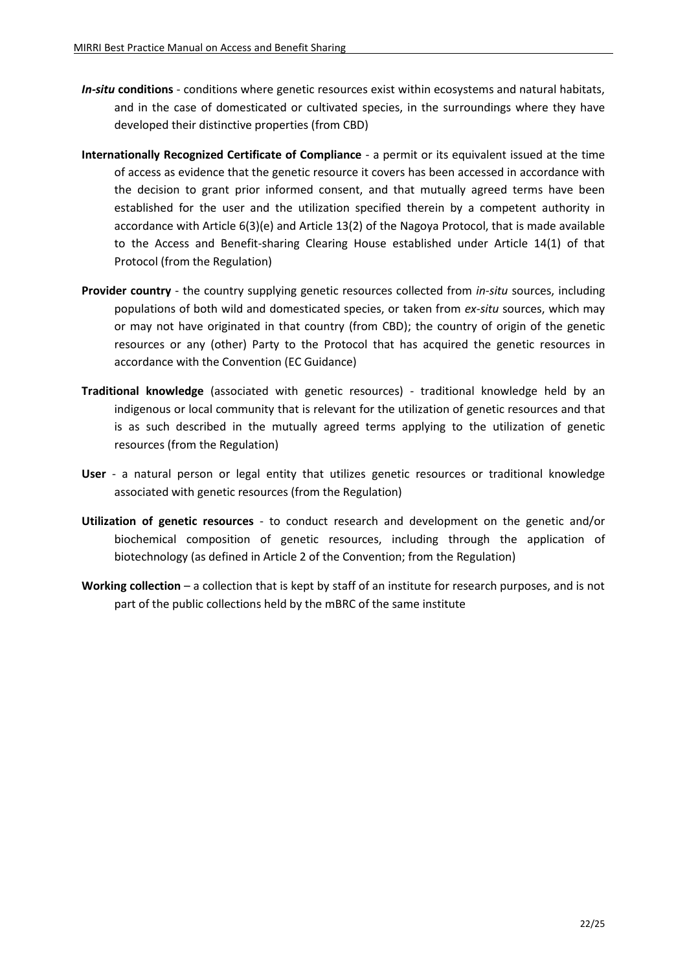- *In-situ* **conditions** conditions where genetic resources exist within ecosystems and natural habitats, and in the case of domesticated or cultivated species, in the surroundings where they have developed their distinctive properties (from CBD)
- **Internationally Recognized Certificate of Compliance**  a permit or its equivalent issued at the time of access as evidence that the genetic resource it covers has been accessed in accordance with the decision to grant prior informed consent, and that mutually agreed terms have been established for the user and the utilization specified therein by a competent authority in accordance with Article 6(3)(e) and Article 13(2) of the Nagoya Protocol, that is made available to the Access and Benefit-sharing Clearing House established under Article 14(1) of that Protocol (from the Regulation)
- **Provider country**  the country supplying genetic resources collected from *in-situ* sources, including populations of both wild and domesticated species, or taken from *ex-situ* sources, which may or may not have originated in that country (from CBD); the country of origin of the genetic resources or any (other) Party to the Protocol that has acquired the genetic resources in accordance with the Convention (EC Guidance)
- **Traditional knowledge** (associated with genetic resources) traditional knowledge held by an indigenous or local community that is relevant for the utilization of genetic resources and that is as such described in the mutually agreed terms applying to the utilization of genetic resources (from the Regulation)
- **User** a natural person or legal entity that utilizes genetic resources or traditional knowledge associated with genetic resources (from the Regulation)
- **Utilization of genetic resources** to conduct research and development on the genetic and/or biochemical composition of genetic resources, including through the application of biotechnology (as defined in Article 2 of the Convention; from the Regulation)
- **Working collection** a collection that is kept by staff of an institute for research purposes, and is not part of the public collections held by the mBRC of the same institute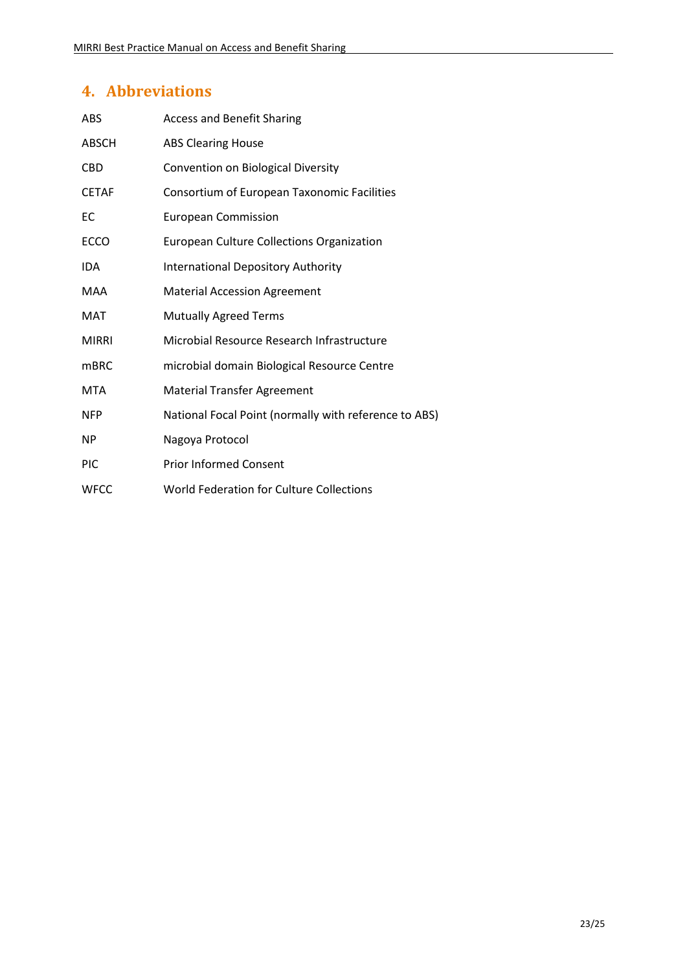# <span id="page-22-0"></span>**4. Abbreviations**

| <b>ABS</b>   | <b>Access and Benefit Sharing</b>                     |
|--------------|-------------------------------------------------------|
| <b>ABSCH</b> | <b>ABS Clearing House</b>                             |
| <b>CBD</b>   | Convention on Biological Diversity                    |
| <b>CETAF</b> | Consortium of European Taxonomic Facilities           |
| EC           | <b>European Commission</b>                            |
| <b>ECCO</b>  | European Culture Collections Organization             |
| <b>IDA</b>   | <b>International Depository Authority</b>             |
| MAA          | <b>Material Accession Agreement</b>                   |
| MAT          | <b>Mutually Agreed Terms</b>                          |
| <b>MIRRI</b> | Microbial Resource Research Infrastructure            |
| <b>mBRC</b>  | microbial domain Biological Resource Centre           |
| <b>MTA</b>   | <b>Material Transfer Agreement</b>                    |
| <b>NFP</b>   | National Focal Point (normally with reference to ABS) |
| NP           | Nagoya Protocol                                       |
| <b>PIC</b>   | <b>Prior Informed Consent</b>                         |
| <b>WFCC</b>  | World Federation for Culture Collections              |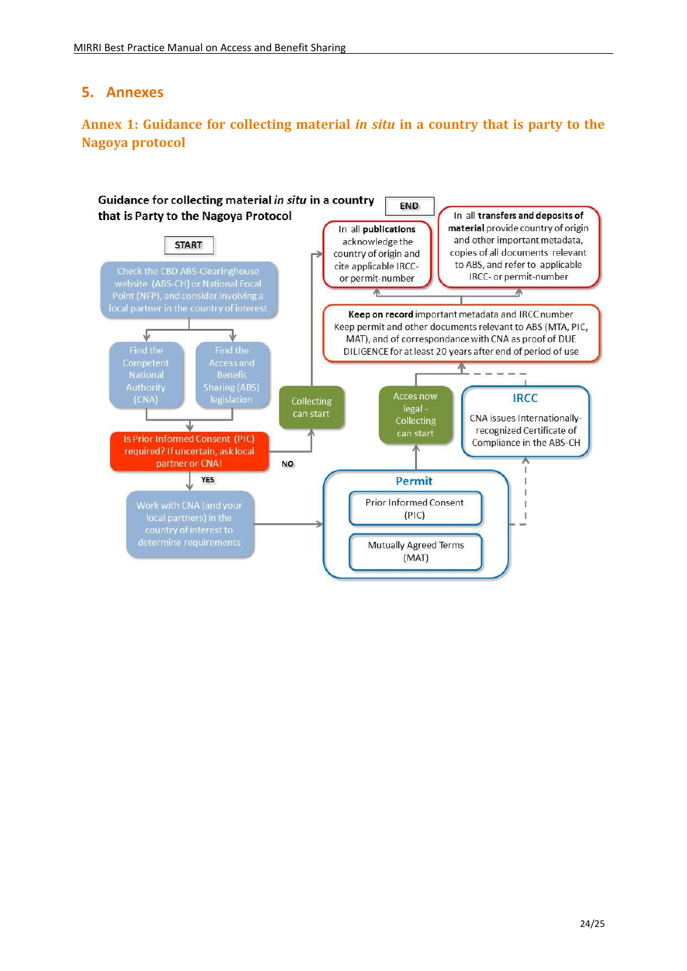# **5. Annexes**

# <span id="page-23-0"></span>**Annex 1: Guidance for collecting material** *in situ* **in a country that is party to the Nagoya protocol**